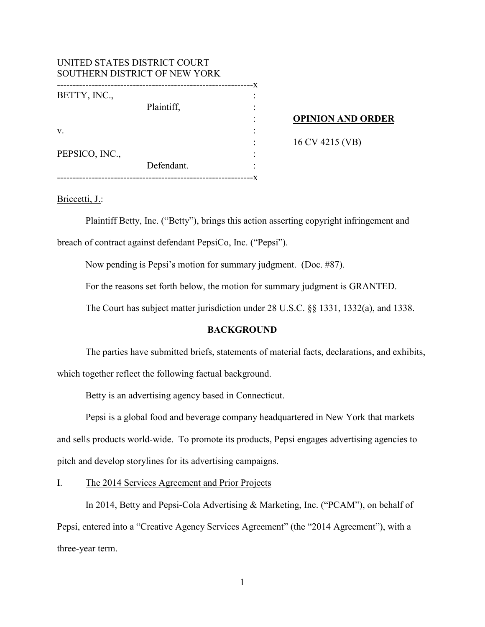| UNITED STATES DISTRICT COURT<br>SOUTHERN DISTRICT OF NEW YORK |            |    |                          |
|---------------------------------------------------------------|------------|----|--------------------------|
| BETTY, INC.,                                                  | ---------- | -x |                          |
|                                                               | Plaintiff, |    |                          |
|                                                               |            |    | <b>OPINION AND ORDER</b> |
| V.                                                            |            |    |                          |
|                                                               |            |    | 16 CV 4215 (VB)          |
| PEPSICO, INC.,                                                |            |    |                          |
|                                                               | Defendant. |    |                          |
|                                                               |            |    |                          |

#### Briccetti, J.:

Plaintiff Betty, Inc. ("Betty"), brings this action asserting copyright infringement and breach of contract against defendant PepsiCo, Inc. ("Pepsi").

Now pending is Pepsi's motion for summary judgment. (Doc. #87).

For the reasons set forth below, the motion for summary judgment is GRANTED.

The Court has subject matter jurisdiction under 28 U.S.C. §§ 1331, 1332(a), and 1338.

# **BACKGROUND**

The parties have submitted briefs, statements of material facts, declarations, and exhibits, which together reflect the following factual background.

Betty is an advertising agency based in Connecticut.

Pepsi is a global food and beverage company headquartered in New York that markets and sells products world-wide. To promote its products, Pepsi engages advertising agencies to pitch and develop storylines for its advertising campaigns.

I. The 2014 Services Agreement and Prior Projects

In 2014, Betty and Pepsi-Cola Advertising & Marketing, Inc. ("PCAM"), on behalf of Pepsi, entered into a "Creative Agency Services Agreement" (the "2014 Agreement"), with a three-year term.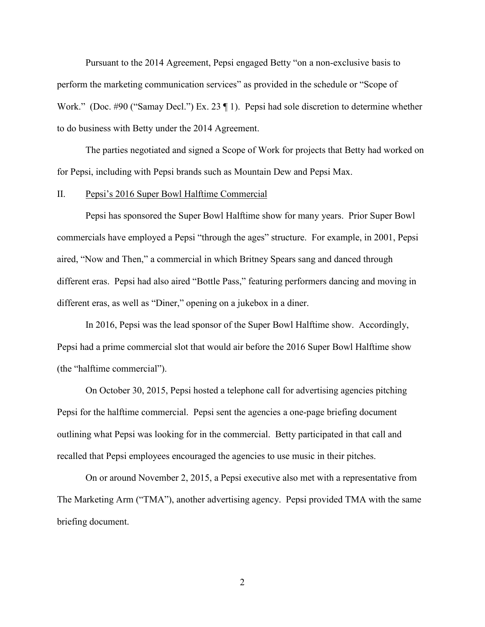Pursuant to the 2014 Agreement, Pepsi engaged Betty "on a non-exclusive basis to perform the marketing communication services" as provided in the schedule or "Scope of Work." (Doc. #90 ("Samay Decl.") Ex. 23  $\P$  1). Pepsi had sole discretion to determine whether to do business with Betty under the 2014 Agreement.

The parties negotiated and signed a Scope of Work for projects that Betty had worked on for Pepsi, including with Pepsi brands such as Mountain Dew and Pepsi Max.

#### II. Pepsi's 2016 Super Bowl Halftime Commercial

Pepsi has sponsored the Super Bowl Halftime show for many years. Prior Super Bowl commercials have employed a Pepsi "through the ages" structure. For example, in 2001, Pepsi aired, "Now and Then," a commercial in which Britney Spears sang and danced through different eras. Pepsi had also aired "Bottle Pass," featuring performers dancing and moving in different eras, as well as "Diner," opening on a jukebox in a diner.

In 2016, Pepsi was the lead sponsor of the Super Bowl Halftime show. Accordingly, Pepsi had a prime commercial slot that would air before the 2016 Super Bowl Halftime show (the "halftime commercial").

On October 30, 2015, Pepsi hosted a telephone call for advertising agencies pitching Pepsi for the halftime commercial. Pepsi sent the agencies a one-page briefing document outlining what Pepsi was looking for in the commercial. Betty participated in that call and recalled that Pepsi employees encouraged the agencies to use music in their pitches.

On or around November 2, 2015, a Pepsi executive also met with a representative from The Marketing Arm ("TMA"), another advertising agency. Pepsi provided TMA with the same briefing document.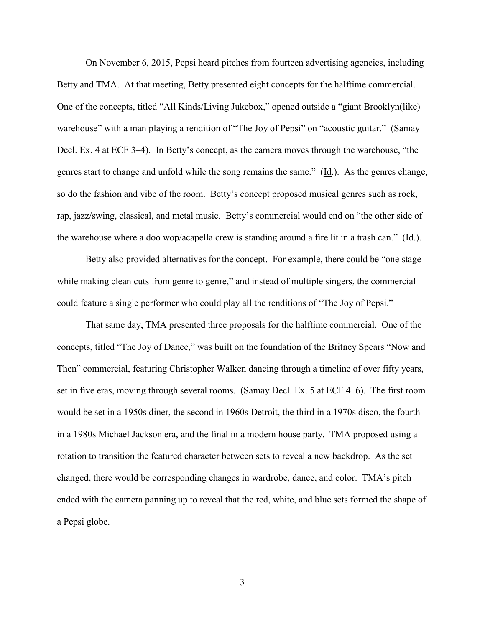On November 6, 2015, Pepsi heard pitches from fourteen advertising agencies, including Betty and TMA. At that meeting, Betty presented eight concepts for the halftime commercial. One of the concepts, titled "All Kinds/Living Jukebox," opened outside a "giant Brooklyn(like) warehouse" with a man playing a rendition of "The Joy of Pepsi" on "acoustic guitar." (Samay Decl. Ex. 4 at ECF 3–4). In Betty's concept, as the camera moves through the warehouse, "the genres start to change and unfold while the song remains the same." (Id.). As the genres change, so do the fashion and vibe of the room. Betty's concept proposed musical genres such as rock, rap, jazz/swing, classical, and metal music. Betty's commercial would end on "the other side of the warehouse where a doo wop/acapella crew is standing around a fire lit in a trash can." (Id.).

Betty also provided alternatives for the concept. For example, there could be "one stage while making clean cuts from genre to genre," and instead of multiple singers, the commercial could feature a single performer who could play all the renditions of "The Joy of Pepsi."

That same day, TMA presented three proposals for the halftime commercial. One of the concepts, titled "The Joy of Dance," was built on the foundation of the Britney Spears "Now and Then" commercial, featuring Christopher Walken dancing through a timeline of over fifty years, set in five eras, moving through several rooms. (Samay Decl. Ex. 5 at ECF 4–6). The first room would be set in a 1950s diner, the second in 1960s Detroit, the third in a 1970s disco, the fourth in a 1980s Michael Jackson era, and the final in a modern house party. TMA proposed using a rotation to transition the featured character between sets to reveal a new backdrop. As the set changed, there would be corresponding changes in wardrobe, dance, and color. TMA's pitch ended with the camera panning up to reveal that the red, white, and blue sets formed the shape of a Pepsi globe.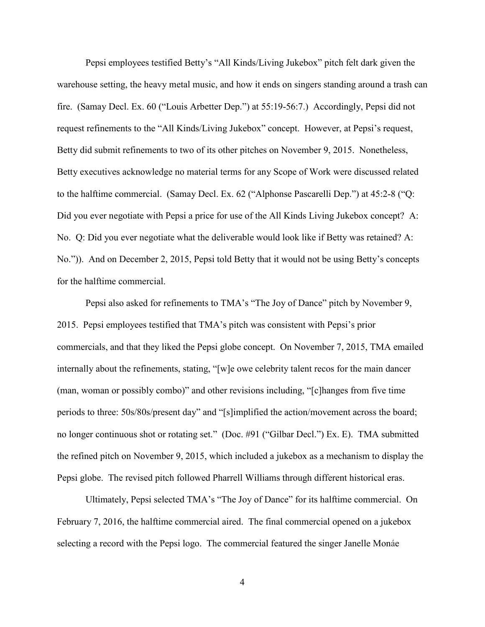Pepsi employees testified Betty's "All Kinds/Living Jukebox" pitch felt dark given the warehouse setting, the heavy metal music, and how it ends on singers standing around a trash can fire. (Samay Decl. Ex. 60 ("Louis Arbetter Dep.") at 55:19-56:7.) Accordingly, Pepsi did not request refinements to the "All Kinds/Living Jukebox" concept. However, at Pepsi's request, Betty did submit refinements to two of its other pitches on November 9, 2015. Nonetheless, Betty executives acknowledge no material terms for any Scope of Work were discussed related to the halftime commercial. (Samay Decl. Ex. 62 ("Alphonse Pascarelli Dep.") at 45:2-8 ("Q: Did you ever negotiate with Pepsi a price for use of the All Kinds Living Jukebox concept? A: No. Q: Did you ever negotiate what the deliverable would look like if Betty was retained? A: No.")). And on December 2, 2015, Pepsi told Betty that it would not be using Betty's concepts for the halftime commercial.

Pepsi also asked for refinements to TMA's "The Joy of Dance" pitch by November 9, 2015. Pepsi employees testified that TMA's pitch was consistent with Pepsi's prior commercials, and that they liked the Pepsi globe concept. On November 7, 2015, TMA emailed internally about the refinements, stating, "[w]e owe celebrity talent recos for the main dancer (man, woman or possibly combo)" and other revisions including, "[c]hanges from five time periods to three: 50s/80s/present day" and "[s]implified the action/movement across the board; no longer continuous shot or rotating set." (Doc. #91 ("Gilbar Decl.") Ex. E). TMA submitted the refined pitch on November 9, 2015, which included a jukebox as a mechanism to display the Pepsi globe. The revised pitch followed Pharrell Williams through different historical eras.

Ultimately, Pepsi selected TMA's "The Joy of Dance" for its halftime commercial. On February 7, 2016, the halftime commercial aired. The final commercial opened on a jukebox selecting a record with the Pepsi logo. The commercial featured the singer Janelle Monáe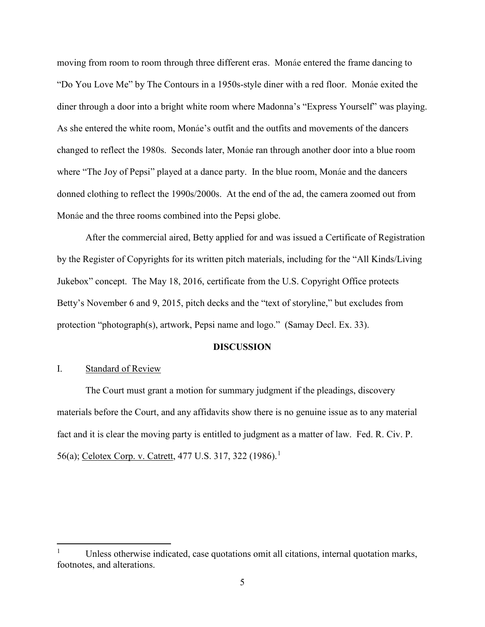moving from room to room through three different eras. Monáe entered the frame dancing to "Do You Love Me" by The Contours in a 1950s-style diner with a red floor. Monáe exited the diner through a door into a bright white room where Madonna's "Express Yourself" was playing. As she entered the white room, Monáe's outfit and the outfits and movements of the dancers changed to reflect the 1980s. Seconds later, Monáe ran through another door into a blue room where "The Joy of Pepsi" played at a dance party. In the blue room, Monáe and the dancers donned clothing to reflect the 1990s/2000s. At the end of the ad, the camera zoomed out from Monáe and the three rooms combined into the Pepsi globe.

After the commercial aired, Betty applied for and was issued a Certificate of Registration by the Register of Copyrights for its written pitch materials, including for the "All Kinds/Living Jukebox" concept. The May 18, 2016, certificate from the U.S. Copyright Office protects Betty's November 6 and 9, 2015, pitch decks and the "text of storyline," but excludes from protection "photograph(s), artwork, Pepsi name and logo." (Samay Decl. Ex. 33).

#### **DISCUSSION**

### I. Standard of Review

The Court must grant a motion for summary judgment if the pleadings, discovery materials before the Court, and any affidavits show there is no genuine issue as to any material fact and it is clear the moving party is entitled to judgment as a matter of law. Fed. R. Civ. P. 56(a); Celotex Corp. v. Catrett, 477 U.S. 3[1](#page-4-0)7, 322 (1986).<sup>1</sup>

<span id="page-4-0"></span> $1$  Unless otherwise indicated, case quotations omit all citations, internal quotation marks, footnotes, and alterations.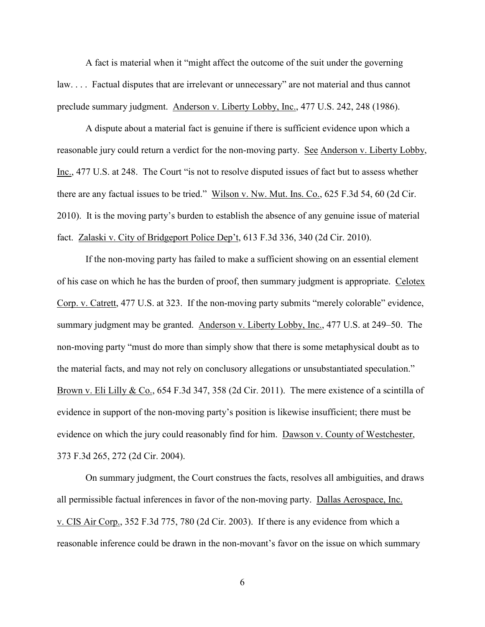A fact is material when it "might affect the outcome of the suit under the governing law. . . . Factual disputes that are irrelevant or unnecessary" are not material and thus cannot preclude summary judgment. Anderson v. Liberty Lobby, Inc., 477 U.S. 242, 248 (1986).

A dispute about a material fact is genuine if there is sufficient evidence upon which a reasonable jury could return a verdict for the non-moving party. See Anderson v. Liberty Lobby, Inc., 477 U.S. at 248. The Court "is not to resolve disputed issues of fact but to assess whether there are any factual issues to be tried." Wilson v. Nw. Mut. Ins. Co., 625 F.3d 54, 60 (2d Cir. 2010). It is the moving party's burden to establish the absence of any genuine issue of material fact. Zalaski v. City of Bridgeport Police Dep't, 613 F.3d 336, 340 (2d Cir. 2010).

If the non-moving party has failed to make a sufficient showing on an essential element of his case on which he has the burden of proof, then summary judgment is appropriate. Celotex Corp. v. Catrett, 477 U.S. at 323. If the non-moving party submits "merely colorable" evidence, summary judgment may be granted. Anderson v. Liberty Lobby, Inc., 477 U.S. at 249–50. The non-moving party "must do more than simply show that there is some metaphysical doubt as to the material facts, and may not rely on conclusory allegations or unsubstantiated speculation." Brown v. Eli Lilly & Co., 654 F.3d 347, 358 (2d Cir. 2011). The mere existence of a scintilla of evidence in support of the non-moving party's position is likewise insufficient; there must be evidence on which the jury could reasonably find for him. Dawson v. County of Westchester, 373 F.3d 265, 272 (2d Cir. 2004).

On summary judgment, the Court construes the facts, resolves all ambiguities, and draws all permissible factual inferences in favor of the non-moving party. Dallas Aerospace, Inc. v. CIS Air Corp., 352 F.3d 775, 780 (2d Cir. 2003). If there is any evidence from which a reasonable inference could be drawn in the non-movant's favor on the issue on which summary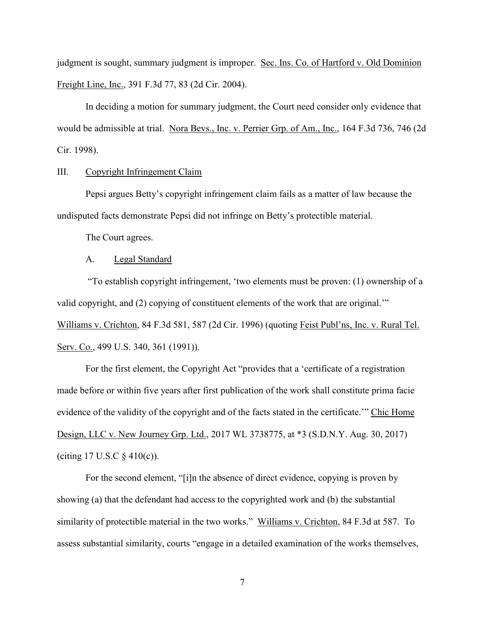judgment is sought, summary judgment is improper. Sec. Ins. Co. of Hartford v. Old Dominion Freight Line, Inc., 391 F.3d 77, 83 (2d Cir. 2004).

In deciding a motion for summary judgment, the Court need consider only evidence that would be admissible at trial. Nora Bevs., Inc. v. Perrier Grp. of Am., Inc., 164 F.3d 736, 746 (2d Cir. 1998).

III. Copyright Infringement Claim

Pepsi argues Betty's copyright infringement claim fails as a matter of law because the undisputed facts demonstrate Pepsi did not infringe on Betty's protectible material.

The Court agrees.

#### A. Legal Standard

"To establish copyright infringement, 'two elements must be proven: (1) ownership of a valid copyright, and (2) copying of constituent elements of the work that are original.'" Williams v. Crichton, 84 F.3d 581, 587 (2d Cir. 1996) (quoting Feist Publ'ns, Inc. v. Rural Tel. Serv. Co., 499 U.S. 340, 361 (1991)).

For the first element, the Copyright Act "provides that a 'certificate of a registration made before or within five years after first publication of the work shall constitute prima facie evidence of the validity of the copyright and of the facts stated in the certificate." Chic Home Design, LLC v. New Journey Grp. Ltd., 2017 WL 3738775, at \*3 (S.D.N.Y. Aug. 30, 2017) (citing  $17 \text{ U.S. C } \S 410(c)$ ).

For the second element, "[i]n the absence of direct evidence, copying is proven by showing (a) that the defendant had access to the copyrighted work and (b) the substantial similarity of protectible material in the two works." Williams v. Crichton, 84 F.3d at 587. To assess substantial similarity, courts "engage in a detailed examination of the works themselves,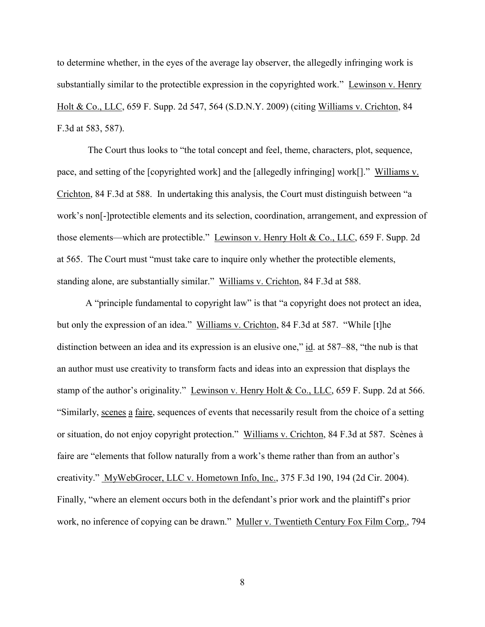to determine whether, in the eyes of the average lay observer, the allegedly infringing work is substantially similar to the protectible expression in the copyrighted work." Lewinson v. Henry Holt & Co., LLC, 659 F. Supp. 2d 547, 564 (S.D.N.Y. 2009) (citing Williams v. Crichton, 84 F.3d at 583, 587).

The Court thus looks to "the total concept and feel, theme, characters, plot, sequence, pace, and setting of the [copyrighted work] and the [allegedly infringing] work[]." Williams v. Crichton, 84 F.3d at 588. In undertaking this analysis, the Court must distinguish between "a work's non[-]protectible elements and its selection, coordination, arrangement, and expression of those elements—which are protectible." Lewinson v. Henry Holt & Co., LLC, 659 F. Supp. 2d at 565. The Court must "must take care to inquire only whether the protectible elements, standing alone, are substantially similar." Williams v. Crichton, 84 F.3d at 588.

A "principle fundamental to copyright law" is that "a copyright does not protect an idea, but only the expression of an idea." Williams v. Crichton, 84 F.3d at 587. "While [t]he distinction between an idea and its expression is an elusive one," id. at 587–88, "the nub is that an author must use creativity to transform facts and ideas into an expression that displays the stamp of the author's originality." Lewinson v. Henry Holt & Co., LLC, 659 F. Supp. 2d at 566. "Similarly, scenes a faire, sequences of events that necessarily result from the choice of a setting or situation, do not enjoy copyright protection." Williams v. Crichton, 84 F.3d at 587. Scènes à faire are "elements that follow naturally from a work's theme rather than from an author's creativity." MyWebGrocer, LLC v. Hometown Info, Inc., 375 F.3d 190, 194 (2d Cir. 2004). Finally, "where an element occurs both in the defendant's prior work and the plaintiff's prior work, no inference of copying can be drawn." Muller v. Twentieth Century Fox Film Corp., 794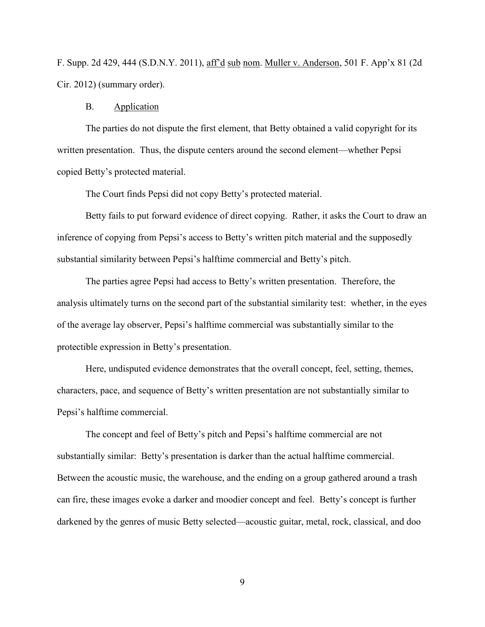F. Supp. 2d 429, 444 (S.D.N.Y. 2011), aff'd sub nom. Muller v. Anderson, 501 F. App'x 81 (2d Cir. 2012) (summary order).

#### B. Application

The parties do not dispute the first element, that Betty obtained a valid copyright for its written presentation. Thus, the dispute centers around the second element—whether Pepsi copied Betty's protected material.

The Court finds Pepsi did not copy Betty's protected material.

Betty fails to put forward evidence of direct copying. Rather, it asks the Court to draw an inference of copying from Pepsi's access to Betty's written pitch material and the supposedly substantial similarity between Pepsi's halftime commercial and Betty's pitch.

The parties agree Pepsi had access to Betty's written presentation. Therefore, the analysis ultimately turns on the second part of the substantial similarity test: whether, in the eyes of the average lay observer, Pepsi's halftime commercial was substantially similar to the protectible expression in Betty's presentation.

Here, undisputed evidence demonstrates that the overall concept, feel, setting, themes, characters, pace, and sequence of Betty's written presentation are not substantially similar to Pepsi's halftime commercial.

The concept and feel of Betty's pitch and Pepsi's halftime commercial are not substantially similar: Betty's presentation is darker than the actual halftime commercial. Between the acoustic music, the warehouse, and the ending on a group gathered around a trash can fire, these images evoke a darker and moodier concept and feel. Betty's concept is further darkened by the genres of music Betty selected—acoustic guitar, metal, rock, classical, and doo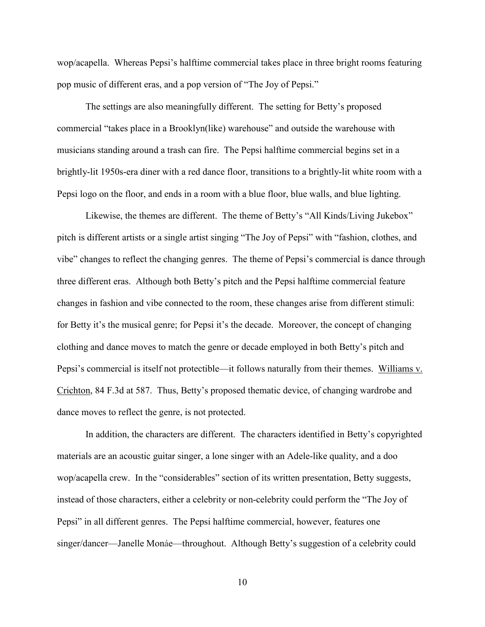wop/acapella. Whereas Pepsi's halftime commercial takes place in three bright rooms featuring pop music of different eras, and a pop version of "The Joy of Pepsi."

The settings are also meaningfully different. The setting for Betty's proposed commercial "takes place in a Brooklyn(like) warehouse" and outside the warehouse with musicians standing around a trash can fire. The Pepsi halftime commercial begins set in a brightly-lit 1950s-era diner with a red dance floor, transitions to a brightly-lit white room with a Pepsi logo on the floor, and ends in a room with a blue floor, blue walls, and blue lighting.

Likewise, the themes are different. The theme of Betty's "All Kinds/Living Jukebox" pitch is different artists or a single artist singing "The Joy of Pepsi" with "fashion, clothes, and vibe" changes to reflect the changing genres. The theme of Pepsi's commercial is dance through three different eras. Although both Betty's pitch and the Pepsi halftime commercial feature changes in fashion and vibe connected to the room, these changes arise from different stimuli: for Betty it's the musical genre; for Pepsi it's the decade. Moreover, the concept of changing clothing and dance moves to match the genre or decade employed in both Betty's pitch and Pepsi's commercial is itself not protectible—it follows naturally from their themes. Williams v. Crichton, 84 F.3d at 587. Thus, Betty's proposed thematic device, of changing wardrobe and dance moves to reflect the genre, is not protected.

In addition, the characters are different. The characters identified in Betty's copyrighted materials are an acoustic guitar singer, a lone singer with an Adele-like quality, and a doo wop/acapella crew. In the "considerables" section of its written presentation, Betty suggests, instead of those characters, either a celebrity or non-celebrity could perform the "The Joy of Pepsi" in all different genres. The Pepsi halftime commercial, however, features one singer/dancer—Janelle Monáe—throughout. Although Betty's suggestion of a celebrity could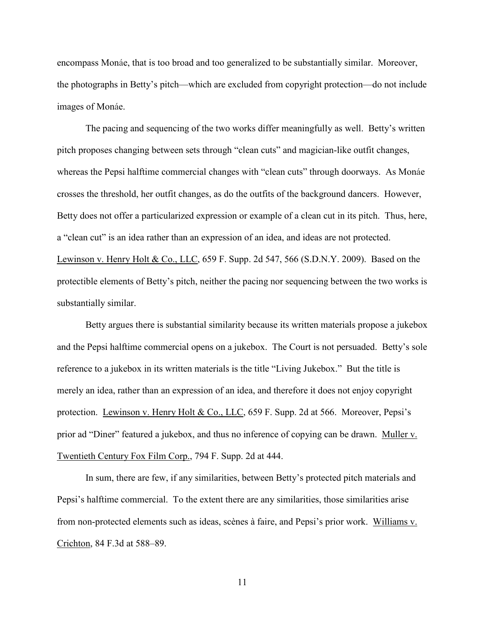encompass Monáe, that is too broad and too generalized to be substantially similar. Moreover, the photographs in Betty's pitch—which are excluded from copyright protection—do not include images of Monáe.

The pacing and sequencing of the two works differ meaningfully as well. Betty's written pitch proposes changing between sets through "clean cuts" and magician-like outfit changes, whereas the Pepsi halftime commercial changes with "clean cuts" through doorways. As Monáe crosses the threshold, her outfit changes, as do the outfits of the background dancers. However, Betty does not offer a particularized expression or example of a clean cut in its pitch. Thus, here, a "clean cut" is an idea rather than an expression of an idea, and ideas are not protected. Lewinson v. Henry Holt & Co., LLC, 659 F. Supp. 2d 547, 566 (S.D.N.Y. 2009). Based on the protectible elements of Betty's pitch, neither the pacing nor sequencing between the two works is substantially similar.

Betty argues there is substantial similarity because its written materials propose a jukebox and the Pepsi halftime commercial opens on a jukebox. The Court is not persuaded. Betty's sole reference to a jukebox in its written materials is the title "Living Jukebox." But the title is merely an idea, rather than an expression of an idea, and therefore it does not enjoy copyright protection. Lewinson v. Henry Holt & Co., LLC, 659 F. Supp. 2d at 566. Moreover, Pepsi's prior ad "Diner" featured a jukebox, and thus no inference of copying can be drawn. Muller v. Twentieth Century Fox Film Corp., 794 F. Supp. 2d at 444.

In sum, there are few, if any similarities, between Betty's protected pitch materials and Pepsi's halftime commercial. To the extent there are any similarities, those similarities arise from non-protected elements such as ideas, scènes à faire, and Pepsi's prior work. Williams v. Crichton, 84 F.3d at 588–89.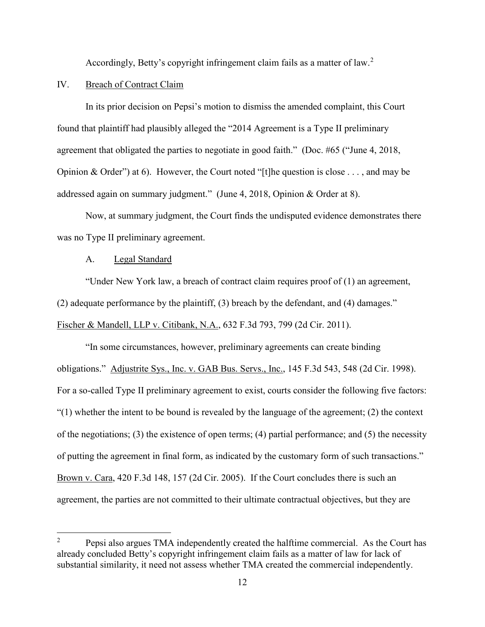Accordingly, Betty's copyright infringement claim fails as a matter of law.<sup>[2](#page-11-0)</sup>

# IV. Breach of Contract Claim

In its prior decision on Pepsi's motion to dismiss the amended complaint, this Court found that plaintiff had plausibly alleged the "2014 Agreement is a Type II preliminary agreement that obligated the parties to negotiate in good faith." (Doc. #65 ("June 4, 2018, Opinion & Order") at 6). However, the Court noted "[t]he question is close . . . , and may be addressed again on summary judgment." (June 4, 2018, Opinion & Order at 8).

Now, at summary judgment, the Court finds the undisputed evidence demonstrates there was no Type II preliminary agreement.

### A. Legal Standard

"Under New York law, a breach of contract claim requires proof of (1) an agreement, (2) adequate performance by the plaintiff, (3) breach by the defendant, and (4) damages." Fischer & Mandell, LLP v. Citibank, N.A., 632 F.3d 793, 799 (2d Cir. 2011).

"In some circumstances, however, preliminary agreements can create binding obligations." Adjustrite Sys., Inc. v. GAB Bus. Servs., Inc., 145 F.3d 543, 548 (2d Cir. 1998). For a so-called Type II preliminary agreement to exist, courts consider the following five factors:  $(1)$  whether the intent to be bound is revealed by the language of the agreement; (2) the context of the negotiations; (3) the existence of open terms; (4) partial performance; and (5) the necessity of putting the agreement in final form, as indicated by the customary form of such transactions." Brown v. Cara, 420 F.3d 148, 157 (2d Cir. 2005). If the Court concludes there is such an agreement, the parties are not committed to their ultimate contractual objectives, but they are

<span id="page-11-0"></span><sup>&</sup>lt;sup>2</sup> Pepsi also argues TMA independently created the halftime commercial. As the Court has already concluded Betty's copyright infringement claim fails as a matter of law for lack of substantial similarity, it need not assess whether TMA created the commercial independently.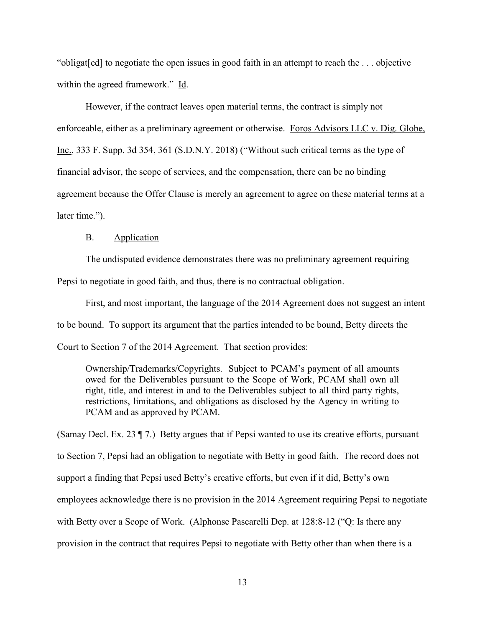"obligat[ed] to negotiate the open issues in good faith in an attempt to reach the . . . objective within the agreed framework." Id.

However, if the contract leaves open material terms, the contract is simply not enforceable, either as a preliminary agreement or otherwise. Foros Advisors LLC v. Dig. Globe, Inc., 333 F. Supp. 3d 354, 361 (S.D.N.Y. 2018) ("Without such critical terms as the type of financial advisor, the scope of services, and the compensation, there can be no binding agreement because the Offer Clause is merely an agreement to agree on these material terms at a later time.").

# B. Application

The undisputed evidence demonstrates there was no preliminary agreement requiring Pepsi to negotiate in good faith, and thus, there is no contractual obligation.

First, and most important, the language of the 2014 Agreement does not suggest an intent to be bound. To support its argument that the parties intended to be bound, Betty directs the Court to Section 7 of the 2014 Agreement. That section provides:

Ownership/Trademarks/Copyrights. Subject to PCAM's payment of all amounts owed for the Deliverables pursuant to the Scope of Work, PCAM shall own all right, title, and interest in and to the Deliverables subject to all third party rights, restrictions, limitations, and obligations as disclosed by the Agency in writing to PCAM and as approved by PCAM.

(Samay Decl. Ex. 23 ¶ 7.) Betty argues that if Pepsi wanted to use its creative efforts, pursuant to Section 7, Pepsi had an obligation to negotiate with Betty in good faith. The record does not support a finding that Pepsi used Betty's creative efforts, but even if it did, Betty's own employees acknowledge there is no provision in the 2014 Agreement requiring Pepsi to negotiate with Betty over a Scope of Work. (Alphonse Pascarelli Dep. at 128:8-12 ("Q: Is there any provision in the contract that requires Pepsi to negotiate with Betty other than when there is a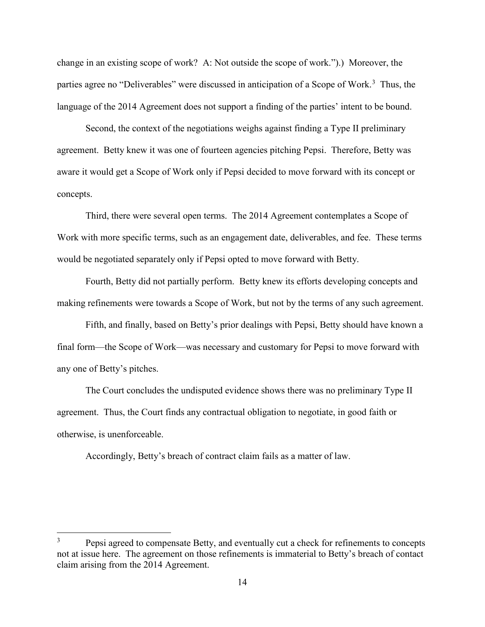change in an existing scope of work? A: Not outside the scope of work.").) Moreover, the parties agree no "Deliverables" were discussed in anticipation of a Scope of Work.<sup>[3](#page-13-0)</sup> Thus, the language of the 2014 Agreement does not support a finding of the parties' intent to be bound.

Second, the context of the negotiations weighs against finding a Type II preliminary agreement. Betty knew it was one of fourteen agencies pitching Pepsi. Therefore, Betty was aware it would get a Scope of Work only if Pepsi decided to move forward with its concept or concepts.

Third, there were several open terms. The 2014 Agreement contemplates a Scope of Work with more specific terms, such as an engagement date, deliverables, and fee. These terms would be negotiated separately only if Pepsi opted to move forward with Betty.

Fourth, Betty did not partially perform. Betty knew its efforts developing concepts and making refinements were towards a Scope of Work, but not by the terms of any such agreement.

Fifth, and finally, based on Betty's prior dealings with Pepsi, Betty should have known a final form—the Scope of Work—was necessary and customary for Pepsi to move forward with any one of Betty's pitches.

The Court concludes the undisputed evidence shows there was no preliminary Type II agreement. Thus, the Court finds any contractual obligation to negotiate, in good faith or otherwise, is unenforceable.

Accordingly, Betty's breach of contract claim fails as a matter of law.

<span id="page-13-0"></span><sup>&</sup>lt;sup>3</sup> Pepsi agreed to compensate Betty, and eventually cut a check for refinements to concepts not at issue here. The agreement on those refinements is immaterial to Betty's breach of contact claim arising from the 2014 Agreement.